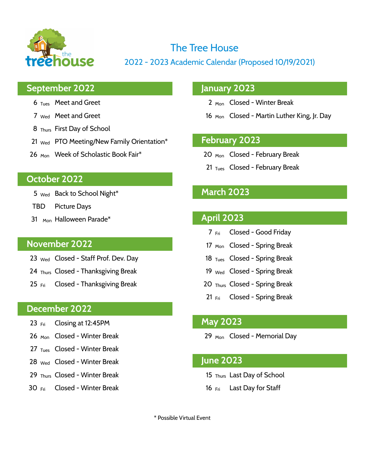

# The Tree House

 $\overline{12}$  2012 - 2023 Academic Calendar (Proposed 10/19/2021)

## **September 2022 January 2023**

- 
- 
- 8 Thurs First Day of School
- 21 Wed PTO Meeting/New Family Orientation\* **February 2023**
- 26 <sub>Mon</sub> Week of Scholastic Book Fair<sup>\*</sup> 20 Mon Closed February Break

### **October 2022**

- 5 Wed Back to School Night\* **March 2023**
- TBD Picture Days
- 31 Mon Halloween Parade\* **April 2023**

- 23 <sub>Wed</sub> Closed Staff Prof. Dev. Day 18 Tues Closed Spring Break
- 24 Thurs Closed Thanksgiving Break 19 Wed Closed Spring Break
- 25 Fri Closed Thanksgiving Break 20 Thurs Closed Spring Break

### **December 2022**

- 23 Fri Closing at 12:45PM **May 2023**
- 
- 27 Tues Closed Winter Break
- 28 Wed Closed Winter Break **June 2023**
- 29 Thurs Closed Winter Break 15 Thurs Last Day of School
- 30 Fri Closed Winter Break 16 Fri Last Day for Staff

- 6 Tues Meet and Greet 2 Mon Closed Winter Break
- 7 wed Meet and Greet 16 Mon Closed Martin Luther King, Jr. Day

- 
- 21  $_{\text{Tues}}$  Closed February Break

- 7 Fri Closed Good Friday
- **November 2022** 17 Mon Closed Spring Break
	-
	-
	-
	- 21 Fri Closed Spring Break

26 <sub>Mon</sub> Closed - Winter Break 29 Mon Closed - Memorial Day

- 
- 

\* Possible Virtual Event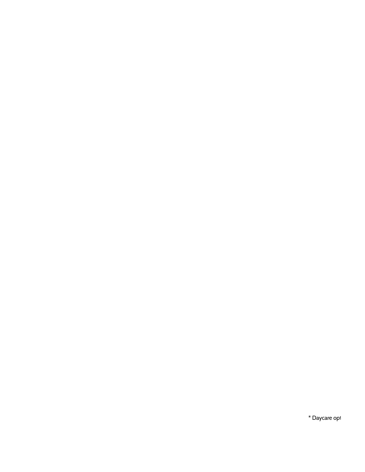\* Daycare opt